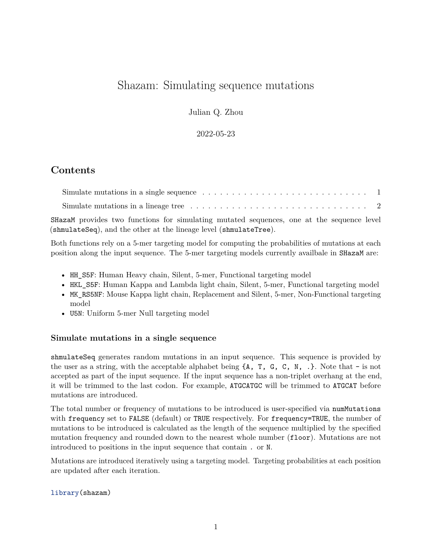## Shazam: Simulating sequence mutations

Julian Q. Zhou

2022-05-23

## **Contents**

| Simulate mutations in a single sequence $\dots \dots \dots \dots \dots \dots \dots \dots \dots \dots \dots \dots$ |  |
|-------------------------------------------------------------------------------------------------------------------|--|
| Simulate mutations in a lineage tree $\dots \dots \dots \dots \dots \dots \dots \dots \dots \dots \dots \dots$    |  |
| SHazaM provides two functions for simulating mutated sequences, one at the sequence level                         |  |
| (shmulateSeq), and the other at the lineage level (shmulateTree).                                                 |  |

Both functions rely on a 5-mer targeting model for computing the probabilities of mutations at each position along the input sequence. The 5-mer targeting models currently availbale in SHazaM are:

- HH\_S5F: Human Heavy chain, Silent, 5-mer, Functional targeting model
- HKL S5F: Human Kappa and Lambda light chain, Silent, 5-mer, Functional targeting model
- MK\_RS5NF: Mouse Kappa light chain, Replacement and Silent, 5-mer, Non-Functional targeting model
- U5N: Uniform 5-mer Null targeting model

## <span id="page-0-0"></span>**Simulate mutations in a single sequence**

shmulateSeq generates random mutations in an input sequence. This sequence is provided by the user as a string, with the acceptable alphabet being  $\{A, T, G, C, N, \}$ . Note that - is not accepted as part of the input sequence. If the input sequence has a non-triplet overhang at the end, it will be trimmed to the last codon. For example, ATGCATGC will be trimmed to ATGCAT before mutations are introduced.

The total number or frequency of mutations to be introduced is user-specified via numMutations with frequency set to FALSE (default) or TRUE respectively. For frequency=TRUE, the number of mutations to be introduced is calculated as the length of the sequence multiplied by the specified mutation frequency and rounded down to the nearest whole number (floor). Mutations are not introduced to positions in the input sequence that contain . or N.

Mutations are introduced iteratively using a targeting model. Targeting probabilities at each position are updated after each iteration.

library(shazam)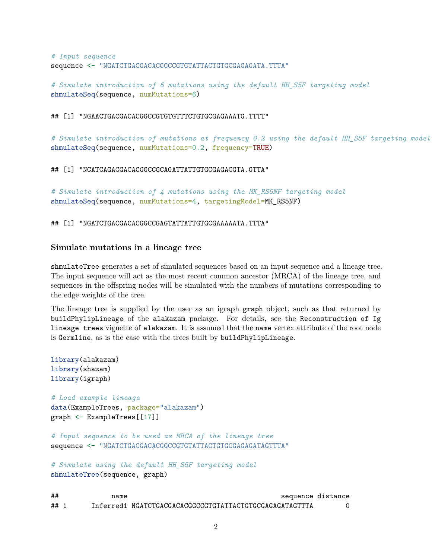```
# Input sequence
sequence <- "NGATCTGACGACACGGCCGTGTATTACTGTGCGAGAGATA.TTTA"
```
*# Simulate introduction of 6 mutations using the default HH\_S5F targeting model* shmulateSeq(sequence, numMutations=6)

## [1] "NGAACTGACGACACGGCCGTGTGTTTCTGTGCGAGAAATG.TTTT"

*# Simulate introduction of mutations at frequency 0.2 using the default HH\_S5F targeting model* shmulateSeq(sequence, numMutations=0.2, frequency=TRUE)

## [1] "NCATCAGACGACACGGCCGCAGATTATTGTGCGAGACGTA.GTTA"

*# Simulate introduction of 4 mutations using the MK\_RS5NF targeting model* shmulateSeq(sequence, numMutations=4, targetingModel=MK\_RS5NF)

## [1] "NGATCTGACGACACGGCCGAGTATTATTGTGCGAAAAATA.TTTA"

## <span id="page-1-0"></span>**Simulate mutations in a lineage tree**

shmulateTree generates a set of simulated sequences based on an input sequence and a lineage tree. The input sequence will act as the most recent common ancestor (MRCA) of the lineage tree, and sequences in the offspring nodes will be simulated with the numbers of mutations corresponding to the edge weights of the tree.

The lineage tree is supplied by the user as an igraph graph object, such as that returned by buildPhylipLineage of the alakazam package. For details, see the Reconstruction of Ig lineage trees vignette of alakazam. It is assumed that the name vertex attribute of the root node is Germline, as is the case with the trees built by buildPhylipLineage.

```
library(alakazam)
library(shazam)
library(igraph)
# Load example lineage
data(ExampleTrees, package="alakazam")
graph <- ExampleTrees[[17]]
# Input sequence to be used as MRCA of the lineage tree
sequence <- "NGATCTGACGACACGGCCGTGTATTACTGTGCGAGAGATAGTTTA"
# Simulate using the default HH_S5F targeting model
shmulateTree(sequence, graph)
## name sequence distance
## 1 Inferred1 NGATCTGACGACACGGCCGTGTATTACTGTGCGAGAGATAGTTTA 0
```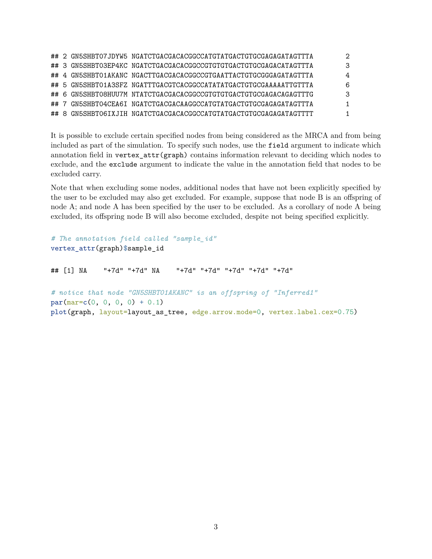|  | ## 2 GN5SHBT07JDYW5 NGATCTGACGACACGGCCATGTATGACTGTGCGAGAGATAGTTTA |   |
|--|-------------------------------------------------------------------|---|
|  | ## 3 GN5SHBT03EP4KC NGATCTGACGACACGCCCGTGTGTGACTGTGCGAGACATAGTTTA |   |
|  | ## 4 GN5SHBT01AKANC NGACTTGACGACACGCCCGTGAATTACTGTGCGGGAGATAGTTTA | 4 |
|  | ## 5 GN5SHBT01A3SFZ NGATTTGACGTCACGGCCATATATGACTGTGCGAAAAATTGTTTA | 6 |
|  | ## 6 GN5SHBT08HUU7M NTATCTGACGACACGGCCGTGTGTGACTGTGCGAGACAGAGTTTG | 3 |
|  | ## 7 GN5SHBT04CEA6I NGATCTGACGACAAGGCCATGTATGACTGTGCGAGAGATAGTTTA |   |
|  | ## 8 GN5SHBT06IXJIH NGATCTGACGACACGCCATGTATGACTGTGCGAGAGATAGTTTT  |   |

It is possible to exclude certain specified nodes from being considered as the MRCA and from being included as part of the simulation. To specify such nodes, use the field argument to indicate which annotation field in vertex\_attr(graph) contains information relevant to deciding which nodes to exclude, and the exclude argument to indicate the value in the annotation field that nodes to be excluded carry.

Note that when excluding some nodes, additional nodes that have not been explicitly specified by the user to be excluded may also get excluded. For example, suppose that node B is an offspring of node A; and node A has been specified by the user to be excluded. As a corollary of node A being excluded, its offspring node B will also become excluded, despite not being specified explicitly.

```
# The annotation field called "sample_id"
vertex_attr(graph)$sample_id
## [1] NA "+7d" "+7d" NA "+7d" "+7d" "+7d" "+7d" "+7d"
# notice that node "GN5SHBT01AKANC" is an offspring of "Inferred1"
par(max=c(0, 0, 0, 0) + 0.1)plot(graph, layout=layout_as_tree, edge.arrow.mode=0, vertex.label.cex=0.75)
```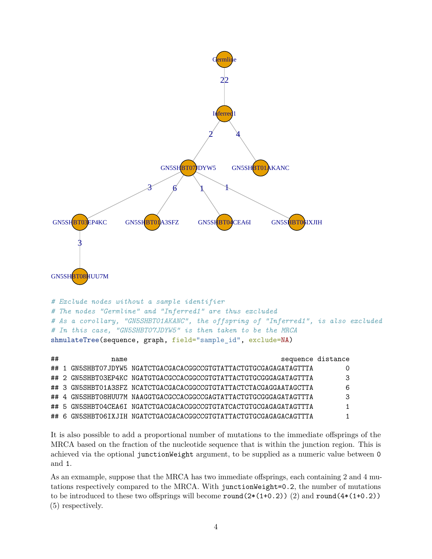

*# As a corollary, "GN5SHBT01AKANC", the offspring of "Inferred1", is also excluded # In this case, "GN5SHBT07JDYW5" is then taken to be the MRCA* shmulateTree(sequence, graph, field="sample\_id", exclude=NA)

| ## | name | sequence distance                                                 |   |
|----|------|-------------------------------------------------------------------|---|
|    |      | ## 1 GN5SHBT07JDYW5 NGATCTGACGACACGGCCGTGTATTACTGTGCGAGAGATAGTTTA | 0 |
|    |      | ## 2 GN5SHBT03EP4KC NGATGTGACGCCACGGCCGTGTATTACTGTGCGGGAGATAGTTTA | 3 |
|    |      | ## 3 GN5SHBT01A3SFZ NCATCTGACGACACGGCCGTGTATTACTCTACGAGGAATAGCTTA | 6 |
|    |      | ## 4 GN5SHBT08HUU7M NAAGGTGACGCCACGGCCGAGTATTACTGTGCGGGAGATAGTTTA | 3 |
|    |      | ## 5 GN5SHBT04CEA6I NGATCTGACGACACGGCCGTGTATCACTGTGCGAGAGATAGTTTA | 1 |
|    |      | ## 6 GN5SHBT06IXJIH NGATCTGACGACACGGCCGTGTATTACTGTGCGAGAGACAGTTTA |   |

It is also possible to add a proportional number of mutations to the immediate offsprings of the MRCA based on the fraction of the nucleotide sequence that is within the junction region. This is achieved via the optional junctionWeight argument, to be supplied as a numeric value between 0 and 1.

As an exmample, suppose that the MRCA has two immediate offsprings, each containing 2 and 4 mutations respectively compared to the MRCA. With junctionWeight=0.2, the number of mutations to be introduced to these two offsprings will become  $round(2*(1+0.2))(2)$  and  $round(4*(1+0.2))$ (5) respectively.